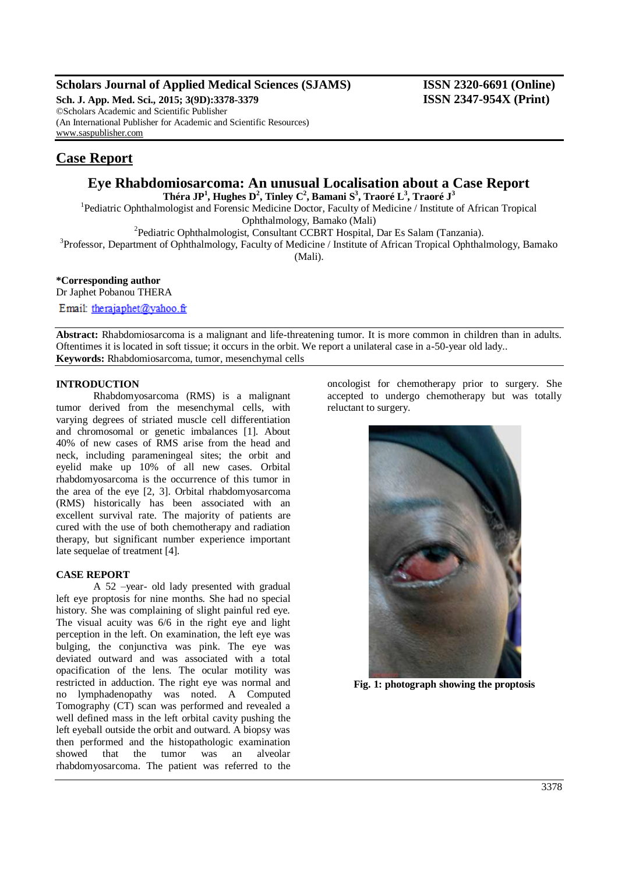# **Scholars Journal of Applied Medical Sciences (SJAMS) ISSN 2320-6691 (Online)**

**Sch. J. App. Med. Sci., 2015; 3(9D):3378-3379 ISSN 2347-954X (Print)** ©Scholars Academic and Scientific Publisher (An International Publisher for Academic and Scientific Resources) [www.saspublisher.com](http://www.saspublisher.com/)

# **Case Report**

# **Eye Rhabdomiosarcoma: An unusual Localisation about a Case Report**

**Théra JP<sup>1</sup> , Hughes D<sup>2</sup> , Tinley C<sup>2</sup> , Bamani S<sup>3</sup> , Traoré L<sup>3</sup> , Traoré J<sup>3</sup>**

<sup>1</sup>Pediatric Ophthalmologist and Forensic Medicine Doctor, Faculty of Medicine / Institute of African Tropical Ophthalmology, Bamako (Mali)

2 Pediatric Ophthalmologist, Consultant CCBRT Hospital, Dar Es Salam (Tanzania).

<sup>3</sup>Professor, Department of Ophthalmology, Faculty of Medicine / Institute of African Tropical Ophthalmology, Bamako (Mali).

**\*Corresponding author**

Dr Japhet Pobanou THERA

Email: therajaphet@vahoo.fr

**Abstract:** Rhabdomiosarcoma is a malignant and life-threatening tumor. It is more common in children than in adults. Oftentimes it is located in soft tissue; it occurs in the orbit. We report a unilateral case in a-50-year old lady.. **Keywords:** Rhabdomiosarcoma, tumor, mesenchymal cells

## **INTRODUCTION**

Rhabdomyosarcoma (RMS) is a malignant tumor derived from the mesenchymal cells, with varying degrees of striated muscle cell differentiation and chromosomal or genetic imbalances [1]. About 40% of new cases of RMS arise from the head and neck, including parameningeal sites; the orbit and eyelid make up 10% of all new cases. Orbital rhabdomyosarcoma is the occurrence of this tumor in the area of the eye [2, 3]. Orbital rhabdomyosarcoma (RMS) historically has been associated with an excellent survival rate. The majority of patients are cured with the use of both chemotherapy and radiation therapy, but significant number experience important late sequelae of treatment [4].

## **CASE REPORT**

A 52 –year- old lady presented with gradual left eye proptosis for nine months. She had no special history. She was complaining of slight painful red eye. The visual acuity was 6/6 in the right eye and light perception in the left. On examination, the left eye was bulging, the conjunctiva was pink. The eye was deviated outward and was associated with a total opacification of the lens. The ocular motility was restricted in adduction. The right eye was normal and no lymphadenopathy was noted. A Computed Tomography (CT) scan was performed and revealed a well defined mass in the left orbital cavity pushing the left eyeball outside the orbit and outward. A biopsy was then performed and the histopathologic examination showed that the tumor was an alveolar rhabdomyosarcoma. The patient was referred to the

oncologist for chemotherapy prior to surgery. She accepted to undergo chemotherapy but was totally reluctant to surgery.



**Fig. 1: photograph showing the proptosis**